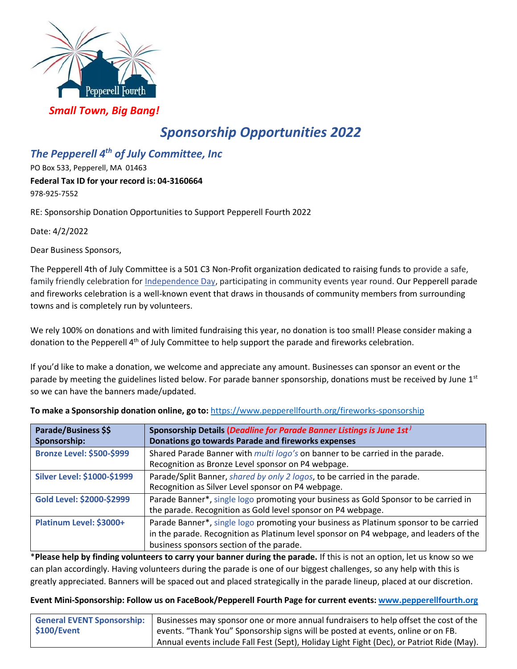

## *Sponsorship Opportunities 2022*

## *The Pepperell 4 th of July Committee, Inc*

PO Box 533, Pepperell, MA 01463 **Federal Tax ID for your record is: 04-3160664** 978-925-7552

RE: Sponsorship Donation Opportunities to Support Pepperell Fourth 2022

Date: 4/2/2022

Dear Business Sponsors,

The Pepperell 4th of July Committee is a 501 C3 Non-Profit organization dedicated to raising funds to provide a safe, family friendly celebration fo[r Independence Day,](https://www.facebook.com/Pepperell-Fourth-2019-749198418767545/inbox/10215841806391417/?notif_id=1540252588477596¬if_t=page_message&mailbox_id=749198418767545&selected_item_id=1632984428) participating in community events year round. Our Pepperell parade and fireworks celebration is a well-known event that draws in thousands of community members from surrounding towns and is completely run by volunteers.

We rely 100% on donations and with limited fundraising this year, no donation is too small! Please consider making a donation to the Pepperell 4<sup>th</sup> of July Committee to help support the parade and fireworks celebration.

If you'd like to make a donation, we welcome and appreciate any amount. Businesses can sponsor an event or the parade by meeting the guidelines listed below. For parade banner sponsorship, donations must be received by June  $1<sup>st</sup>$ so we can have the banners made/updated.

| Parade/Business \$\$<br>Sponsorship: | Sponsorship Details (Deadline for Parade Banner Listings is June 1st)<br>Donations go towards Parade and fireworks expenses                                                                                                 |
|--------------------------------------|-----------------------------------------------------------------------------------------------------------------------------------------------------------------------------------------------------------------------------|
| <b>Bronze Level: \$500-\$999</b>     | Shared Parade Banner with <i>multi logo's</i> on banner to be carried in the parade.<br>Recognition as Bronze Level sponsor on P4 webpage.                                                                                  |
| <b>Silver Level: \$1000-\$1999</b>   | Parade/Split Banner, shared by only 2 logos, to be carried in the parade.<br>Recognition as Silver Level sponsor on P4 webpage.                                                                                             |
| Gold Level: \$2000-\$2999            | Parade Banner*, single logo promoting your business as Gold Sponsor to be carried in<br>the parade. Recognition as Gold level sponsor on P4 webpage.                                                                        |
| Platinum Level: \$3000+              | Parade Banner*, single logo promoting your business as Platinum sponsor to be carried<br>in the parade. Recognition as Platinum level sponsor on P4 webpage, and leaders of the<br>business sponsors section of the parade. |

**To make a Sponsorship donation online, go to:** <https://www.pepperellfourth.org/fireworks-sponsorship>

\***Please help by finding volunteers to carry your banner during the parade.** If this is not an option, let us know so we can plan accordingly. Having volunteers during the parade is one of our biggest challenges, so any help with this is greatly appreciated. Banners will be spaced out and placed strategically in the parade lineup, placed at our discretion.

## **Event Mini-Sponsorship: Follow us on FaceBook/Pepperell Fourth Page for current events: [www.pepperellfourth.org](http://www.pepperellfourth.org/)**

| <b>General EVENT Sponsorship:</b> | Businesses may sponsor one or more annual fundraisers to help offset the cost of the      |
|-----------------------------------|-------------------------------------------------------------------------------------------|
| \$100/Event                       | events. "Thank You" Sponsorship signs will be posted at events, online or on FB.          |
|                                   | Annual events include Fall Fest (Sept), Holiday Light Fight (Dec), or Patriot Ride (May). |